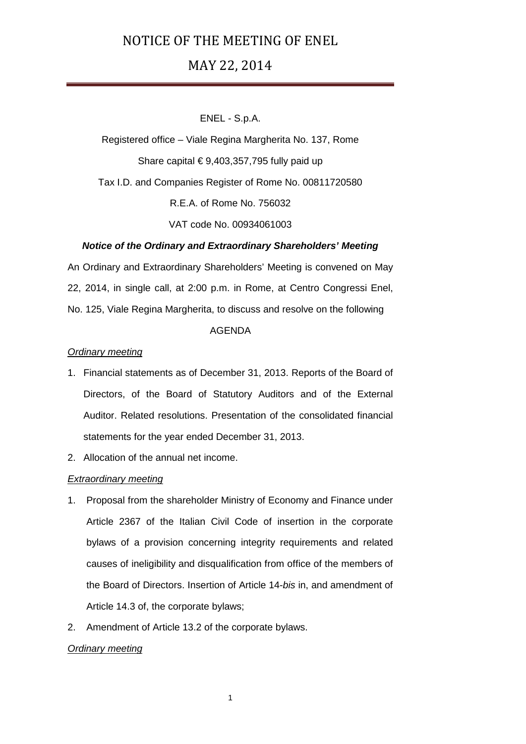# MAY 22, 2014

## ENEL - S.p.A.

Registered office – Viale Regina Margherita No. 137, Rome Share capital  $\epsilon$  9,403,357,795 fully paid up Tax I.D. and Companies Register of Rome No. 00811720580 R.E.A. of Rome No. 756032 VAT code No. 00934061003

## *Notice of the Ordinary and Extraordinary Shareholders' Meeting*

An Ordinary and Extraordinary Shareholders' Meeting is convened on May 22, 2014, in single call, at 2:00 p.m. in Rome, at Centro Congressi Enel, No. 125, Viale Regina Margherita, to discuss and resolve on the following

## AGENDA

## *Ordinary meeting*

- 1. Financial statements as of December 31, 2013. Reports of the Board of Directors, of the Board of Statutory Auditors and of the External Auditor. Related resolutions. Presentation of the consolidated financial statements for the year ended December 31, 2013.
- 2. Allocation of the annual net income.

### *Extraordinary meeting*

- 1. Proposal from the shareholder Ministry of Economy and Finance under Article 2367 of the Italian Civil Code of insertion in the corporate bylaws of a provision concerning integrity requirements and related causes of ineligibility and disqualification from office of the members of the Board of Directors. Insertion of Article 14-*bis* in, and amendment of Article 14.3 of, the corporate bylaws;
- 2. Amendment of Article 13.2 of the corporate bylaws.

### *Ordinary meeting*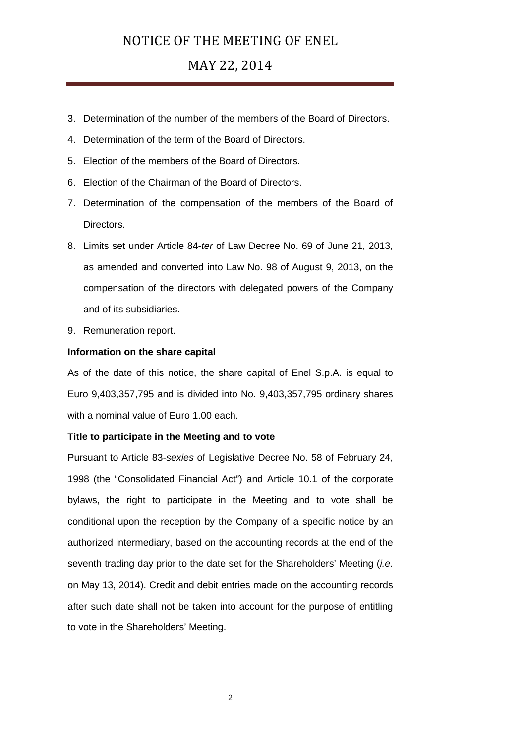# MAY 22, 2014

- 3. Determination of the number of the members of the Board of Directors.
- 4. Determination of the term of the Board of Directors.
- 5. Election of the members of the Board of Directors.
- 6. Election of the Chairman of the Board of Directors.
- 7. Determination of the compensation of the members of the Board of Directors.
- 8. Limits set under Article 84-*ter* of Law Decree No. 69 of June 21, 2013, as amended and converted into Law No. 98 of August 9, 2013, on the compensation of the directors with delegated powers of the Company and of its subsidiaries.
- 9. Remuneration report.

### **Information on the share capital**

As of the date of this notice, the share capital of Enel S.p.A. is equal to Euro 9,403,357,795 and is divided into No. 9,403,357,795 ordinary shares with a nominal value of Euro 1.00 each.

#### **Title to participate in the Meeting and to vote**

Pursuant to Article 83-*sexies* of Legislative Decree No. 58 of February 24, 1998 (the "Consolidated Financial Act") and Article 10.1 of the corporate bylaws, the right to participate in the Meeting and to vote shall be conditional upon the reception by the Company of a specific notice by an authorized intermediary, based on the accounting records at the end of the seventh trading day prior to the date set for the Shareholders' Meeting (*i.e.* on May 13, 2014). Credit and debit entries made on the accounting records after such date shall not be taken into account for the purpose of entitling to vote in the Shareholders' Meeting.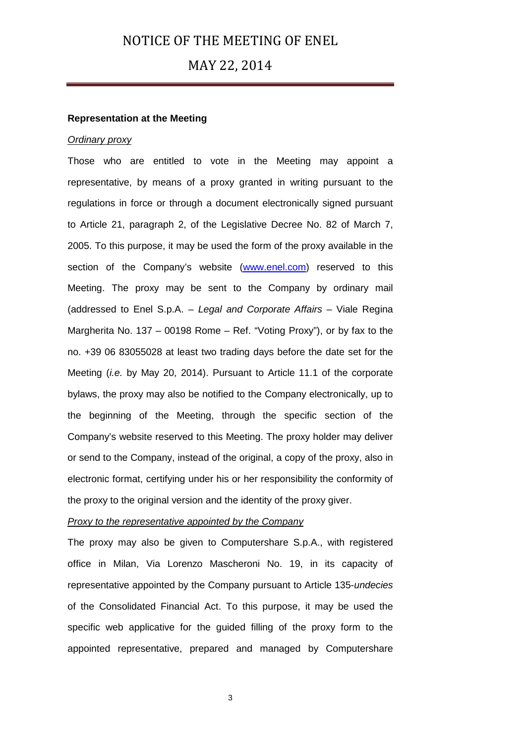## MAY 22, 2014

#### **Representation at the Meeting**

### *Ordinary proxy*

Those who are entitled to vote in the Meeting may appoint a representative, by means of a proxy granted in writing pursuant to the regulations in force or through a document electronically signed pursuant to Article 21, paragraph 2, of the Legislative Decree No. 82 of March 7, 2005. To this purpose, it may be used the form of the proxy available in the section of the Company's website [\(www.enel.com\)](http://www.enel.com/) reserved to this Meeting. The proxy may be sent to the Company by ordinary mail (addressed to Enel S.p.A. – *Legal and Corporate Affairs* – Viale Regina Margherita No. 137 – 00198 Rome – Ref. "Voting Proxy"), or by fax to the no. +39 06 83055028 at least two trading days before the date set for the Meeting (*i.e.* by May 20, 2014). Pursuant to Article 11.1 of the corporate bylaws, the proxy may also be notified to the Company electronically, up to the beginning of the Meeting, through the specific section of the Company's website reserved to this Meeting. The proxy holder may deliver or send to the Company, instead of the original, a copy of the proxy, also in electronic format, certifying under his or her responsibility the conformity of the proxy to the original version and the identity of the proxy giver.

### *Proxy to the representative appointed by the Company*

The proxy may also be given to Computershare S.p.A., with registered office in Milan, Via Lorenzo Mascheroni No. 19, in its capacity of representative appointed by the Company pursuant to Article 135-*undecies* of the Consolidated Financial Act. To this purpose, it may be used the specific web applicative for the guided filling of the proxy form to the appointed representative, prepared and managed by Computershare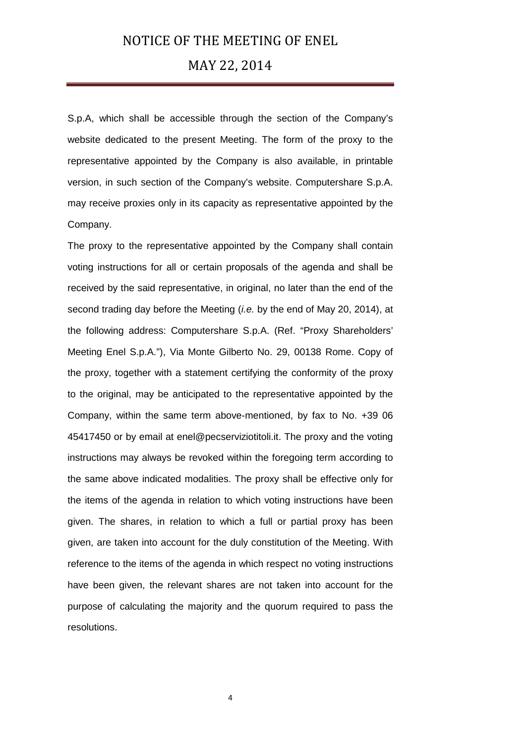## MAY 22, 2014

S.p.A, which shall be accessible through the section of the Company's website dedicated to the present Meeting. The form of the proxy to the representative appointed by the Company is also available, in printable version, in such section of the Company's website. Computershare S.p.A. may receive proxies only in its capacity as representative appointed by the Company.

The proxy to the representative appointed by the Company shall contain voting instructions for all or certain proposals of the agenda and shall be received by the said representative, in original, no later than the end of the second trading day before the Meeting (*i.e.* by the end of May 20, 2014), at the following address: Computershare S.p.A. (Ref. "Proxy Shareholders' Meeting Enel S.p.A."), Via Monte Gilberto No. 29, 00138 Rome. Copy of the proxy, together with a statement certifying the conformity of the proxy to the original, may be anticipated to the representative appointed by the Company, within the same term above-mentioned, by fax to No. +39 06 45417450 or by email at enel@pecserviziotitoli.it. The proxy and the voting instructions may always be revoked within the foregoing term according to the same above indicated modalities. The proxy shall be effective only for the items of the agenda in relation to which voting instructions have been given. The shares, in relation to which a full or partial proxy has been given, are taken into account for the duly constitution of the Meeting. With reference to the items of the agenda in which respect no voting instructions have been given, the relevant shares are not taken into account for the purpose of calculating the majority and the quorum required to pass the resolutions.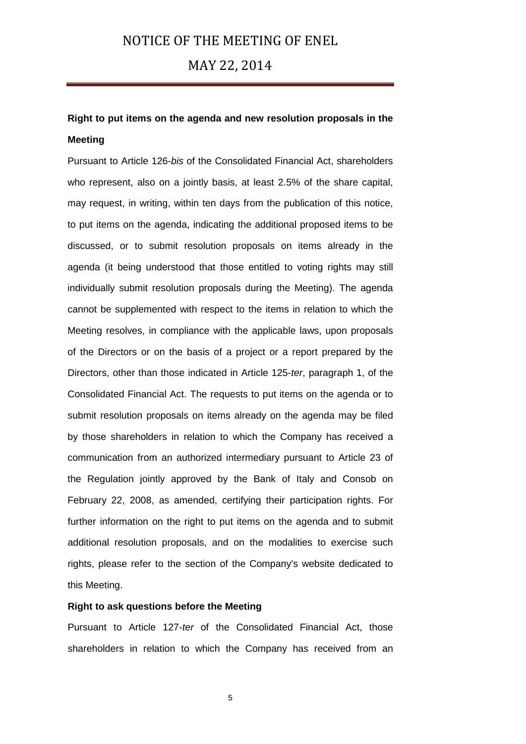## MAY 22, 2014

# **Right to put items on the agenda and new resolution proposals in the Meeting**

Pursuant to Article 126-*bis* of the Consolidated Financial Act, shareholders who represent, also on a jointly basis, at least 2.5% of the share capital, may request, in writing, within ten days from the publication of this notice, to put items on the agenda, indicating the additional proposed items to be discussed, or to submit resolution proposals on items already in the agenda (it being understood that those entitled to voting rights may still individually submit resolution proposals during the Meeting). The agenda cannot be supplemented with respect to the items in relation to which the Meeting resolves, in compliance with the applicable laws, upon proposals of the Directors or on the basis of a project or a report prepared by the Directors, other than those indicated in Article 125-*ter*, paragraph 1, of the Consolidated Financial Act. The requests to put items on the agenda or to submit resolution proposals on items already on the agenda may be filed by those shareholders in relation to which the Company has received a communication from an authorized intermediary pursuant to Article 23 of the Regulation jointly approved by the Bank of Italy and Consob on February 22, 2008, as amended, certifying their participation rights. For further information on the right to put items on the agenda and to submit additional resolution proposals, and on the modalities to exercise such rights, please refer to the section of the Company's website dedicated to this Meeting.

## **Right to ask questions before the Meeting**

Pursuant to Article 127-*ter* of the Consolidated Financial Act, those shareholders in relation to which the Company has received from an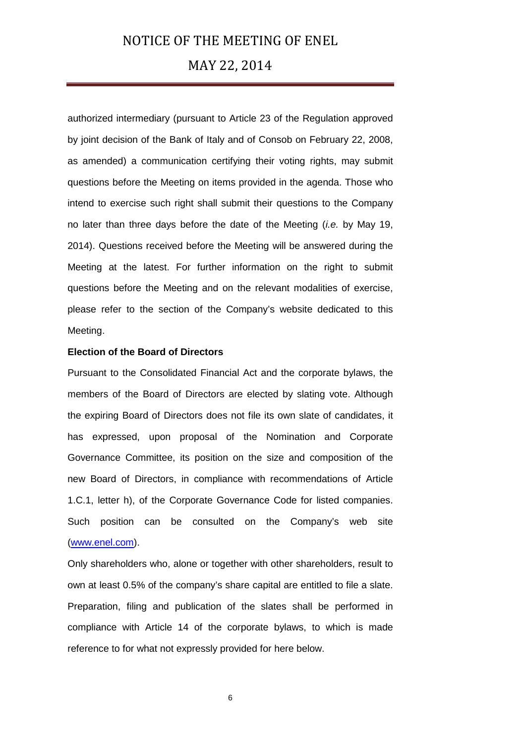## MAY 22, 2014

authorized intermediary (pursuant to Article 23 of the Regulation approved by joint decision of the Bank of Italy and of Consob on February 22, 2008, as amended) a communication certifying their voting rights, may submit questions before the Meeting on items provided in the agenda. Those who intend to exercise such right shall submit their questions to the Company no later than three days before the date of the Meeting (*i.e.* by May 19, 2014). Questions received before the Meeting will be answered during the Meeting at the latest. For further information on the right to submit questions before the Meeting and on the relevant modalities of exercise, please refer to the section of the Company's website dedicated to this Meeting.

### **Election of the Board of Directors**

Pursuant to the Consolidated Financial Act and the corporate bylaws, the members of the Board of Directors are elected by slating vote. Although the expiring Board of Directors does not file its own slate of candidates, it has expressed, upon proposal of the Nomination and Corporate Governance Committee, its position on the size and composition of the new Board of Directors, in compliance with recommendations of Article 1.C.1, letter h), of the Corporate Governance Code for listed companies. Such position can be consulted on the Company's web site [\(www.enel.com\)](http://www.enel.com/).

Only shareholders who, alone or together with other shareholders, result to own at least 0.5% of the company's share capital are entitled to file a slate. Preparation, filing and publication of the slates shall be performed in compliance with Article 14 of the corporate bylaws, to which is made reference to for what not expressly provided for here below.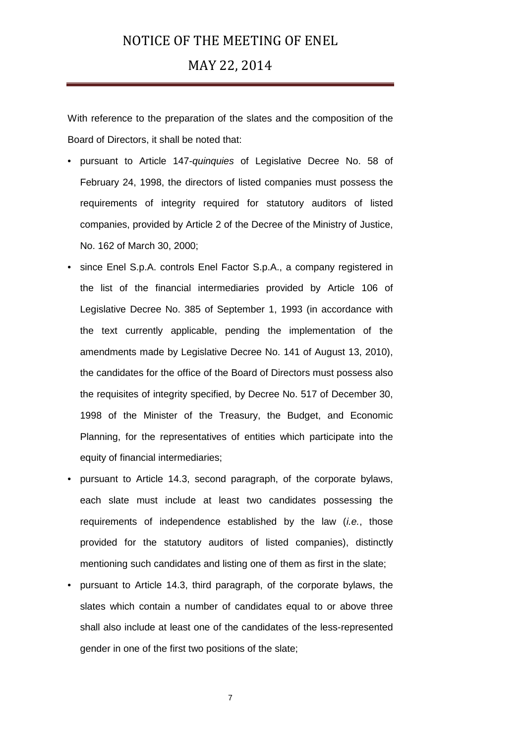## MAY 22, 2014

With reference to the preparation of the slates and the composition of the Board of Directors, it shall be noted that:

- pursuant to Article 147-*quinquies* of Legislative Decree No. 58 of February 24, 1998, the directors of listed companies must possess the requirements of integrity required for statutory auditors of listed companies, provided by Article 2 of the Decree of the Ministry of Justice, No. 162 of March 30, 2000;
- since Enel S.p.A. controls Enel Factor S.p.A., a company registered in the list of the financial intermediaries provided by Article 106 of Legislative Decree No. 385 of September 1, 1993 (in accordance with the text currently applicable, pending the implementation of the amendments made by Legislative Decree No. 141 of August 13, 2010), the candidates for the office of the Board of Directors must possess also the requisites of integrity specified, by Decree No. 517 of December 30, 1998 of the Minister of the Treasury, the Budget, and Economic Planning, for the representatives of entities which participate into the equity of financial intermediaries;
- pursuant to Article 14.3, second paragraph, of the corporate bylaws, each slate must include at least two candidates possessing the requirements of independence established by the law (*i.e.*, those provided for the statutory auditors of listed companies), distinctly mentioning such candidates and listing one of them as first in the slate;
- pursuant to Article 14.3, third paragraph, of the corporate bylaws, the slates which contain a number of candidates equal to or above three shall also include at least one of the candidates of the less-represented gender in one of the first two positions of the slate;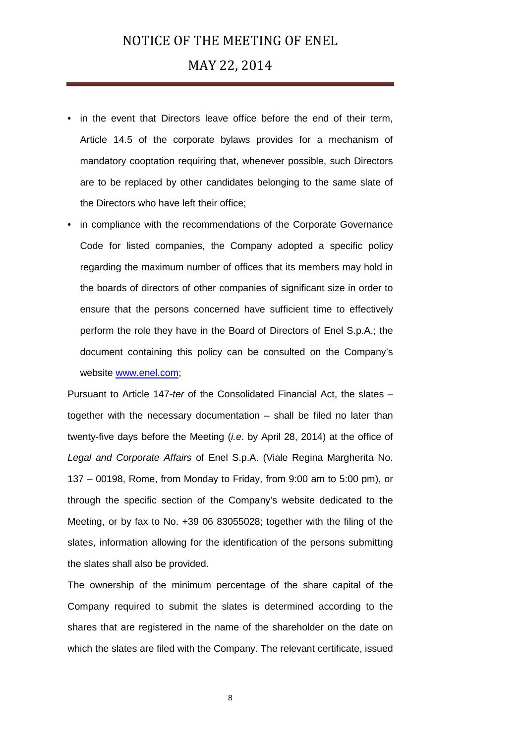## MAY 22, 2014

- in the event that Directors leave office before the end of their term, Article 14.5 of the corporate bylaws provides for a mechanism of mandatory cooptation requiring that, whenever possible, such Directors are to be replaced by other candidates belonging to the same slate of the Directors who have left their office;
- in compliance with the recommendations of the Corporate Governance Code for listed companies, the Company adopted a specific policy regarding the maximum number of offices that its members may hold in the boards of directors of other companies of significant size in order to ensure that the persons concerned have sufficient time to effectively perform the role they have in the Board of Directors of Enel S.p.A.; the document containing this policy can be consulted on the Company's website [www.enel.com;](http://www.enel.com/)

Pursuant to Article 147-*ter* of the Consolidated Financial Act, the slates – together with the necessary documentation – shall be filed no later than twenty-five days before the Meeting (*i.e*. by April 28, 2014) at the office of *Legal and Corporate Affairs* of Enel S.p.A. (Viale Regina Margherita No. 137 – 00198, Rome, from Monday to Friday, from 9:00 am to 5:00 pm), or through the specific section of the Company's website dedicated to the Meeting, or by fax to No. +39 06 83055028; together with the filing of the slates, information allowing for the identification of the persons submitting the slates shall also be provided.

The ownership of the minimum percentage of the share capital of the Company required to submit the slates is determined according to the shares that are registered in the name of the shareholder on the date on which the slates are filed with the Company. The relevant certificate, issued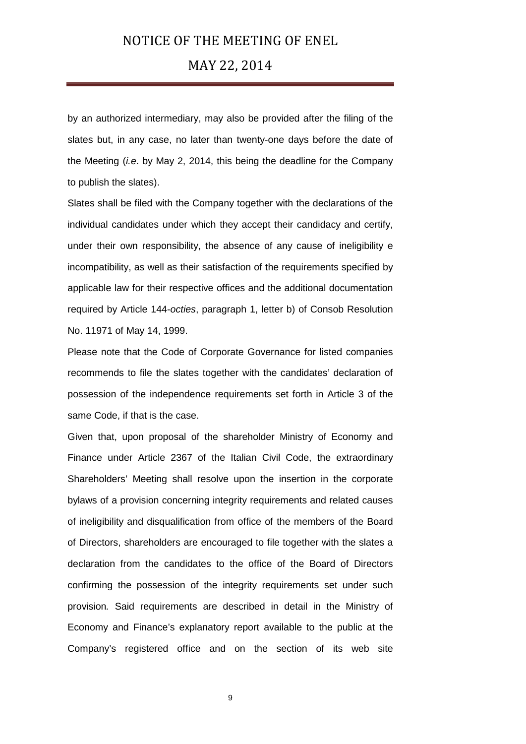## MAY 22, 2014

by an authorized intermediary, may also be provided after the filing of the slates but, in any case, no later than twenty-one days before the date of the Meeting (*i.e*. by May 2, 2014, this being the deadline for the Company to publish the slates).

Slates shall be filed with the Company together with the declarations of the individual candidates under which they accept their candidacy and certify, under their own responsibility, the absence of any cause of ineligibility e incompatibility, as well as their satisfaction of the requirements specified by applicable law for their respective offices and the additional documentation required by Article 144-*octies*, paragraph 1, letter b) of Consob Resolution No. 11971 of May 14, 1999.

Please note that the Code of Corporate Governance for listed companies recommends to file the slates together with the candidates' declaration of possession of the independence requirements set forth in Article 3 of the same Code, if that is the case.

Given that, upon proposal of the shareholder Ministry of Economy and Finance under Article 2367 of the Italian Civil Code, the extraordinary Shareholders' Meeting shall resolve upon the insertion in the corporate bylaws of a provision concerning integrity requirements and related causes of ineligibility and disqualification from office of the members of the Board of Directors, shareholders are encouraged to file together with the slates a declaration from the candidates to the office of the Board of Directors confirming the possession of the integrity requirements set under such provision*.* Said requirements are described in detail in the Ministry of Economy and Finance's explanatory report available to the public at the Company's registered office and on the section of its web site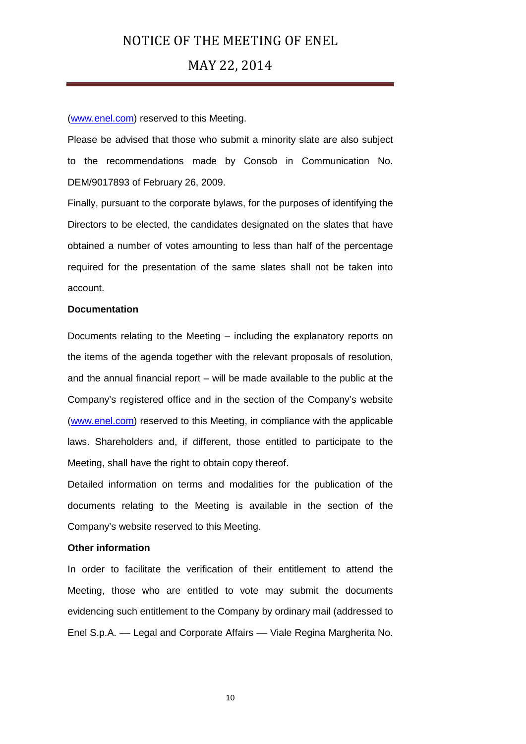## MAY 22, 2014

#### [\(www.enel.com\)](http://www.enel.com/) reserved to this Meeting.

Please be advised that those who submit a minority slate are also subject to the recommendations made by Consob in Communication No. DEM/9017893 of February 26, 2009.

Finally, pursuant to the corporate bylaws, for the purposes of identifying the Directors to be elected, the candidates designated on the slates that have obtained a number of votes amounting to less than half of the percentage required for the presentation of the same slates shall not be taken into account.

### **Documentation**

Documents relating to the Meeting – including the explanatory reports on the items of the agenda together with the relevant proposals of resolution, and the annual financial report – will be made available to the public at the Company's registered office and in the section of the Company's website [\(www.enel.com\)](http://www.enel.com/) reserved to this Meeting, in compliance with the applicable laws. Shareholders and, if different, those entitled to participate to the Meeting, shall have the right to obtain copy thereof.

Detailed information on terms and modalities for the publication of the documents relating to the Meeting is available in the section of the Company's website reserved to this Meeting.

#### **Other information**

In order to facilitate the verification of their entitlement to attend the Meeting, those who are entitled to vote may submit the documents evidencing such entitlement to the Company by ordinary mail (addressed to Enel S.p.A. –– Legal and Corporate Affairs –– Viale Regina Margherita No.